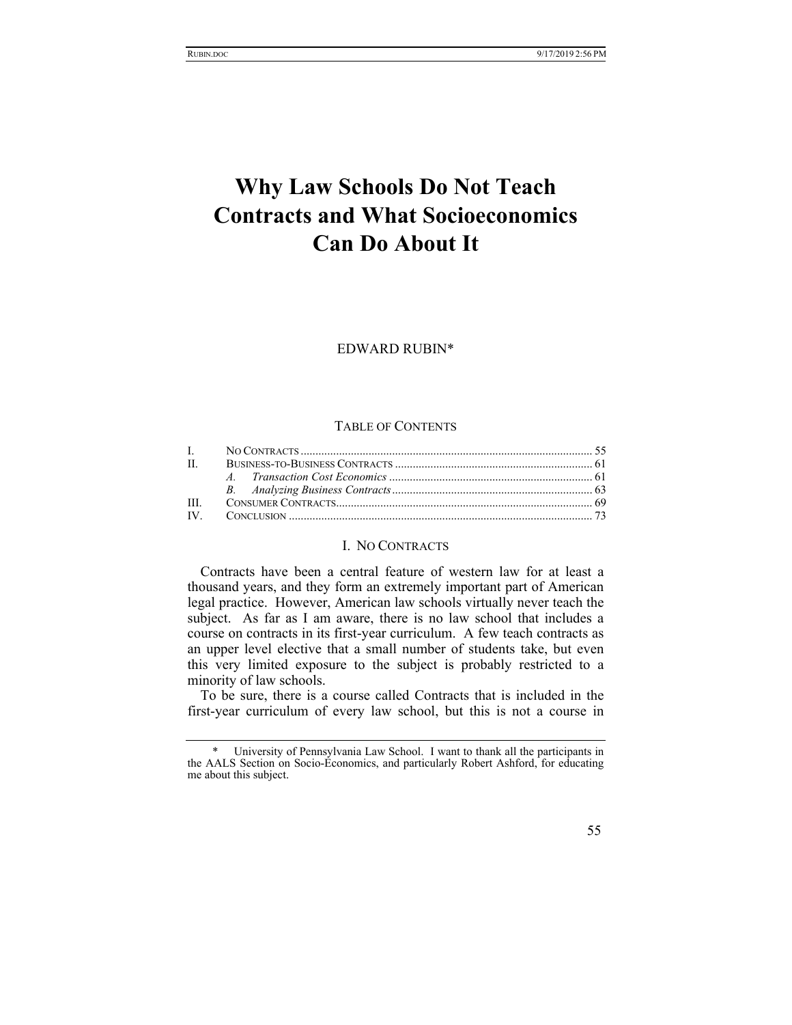# **Why Law Schools Do Not Teach Contracts and What Socioeconomics Can Do About It**

EDWARD RUBIN\*

### TABLE OF CONTENTS

# I. NO CONTRACTS

Contracts have been a central feature of western law for at least a thousand years, and they form an extremely important part of American legal practice. However, American law schools virtually never teach the subject. As far as I am aware, there is no law school that includes a course on contracts in its first-year curriculum. A few teach contracts as an upper level elective that a small number of students take, but even this very limited exposure to the subject is probably restricted to a minority of law schools.

To be sure, there is a course called Contracts that is included in the first-year curriculum of every law school, but this is not a course in

University of Pennsylvania Law School. I want to thank all the participants in the AALS Section on Socio-Economics, and particularly Robert Ashford, for educating me about this subject.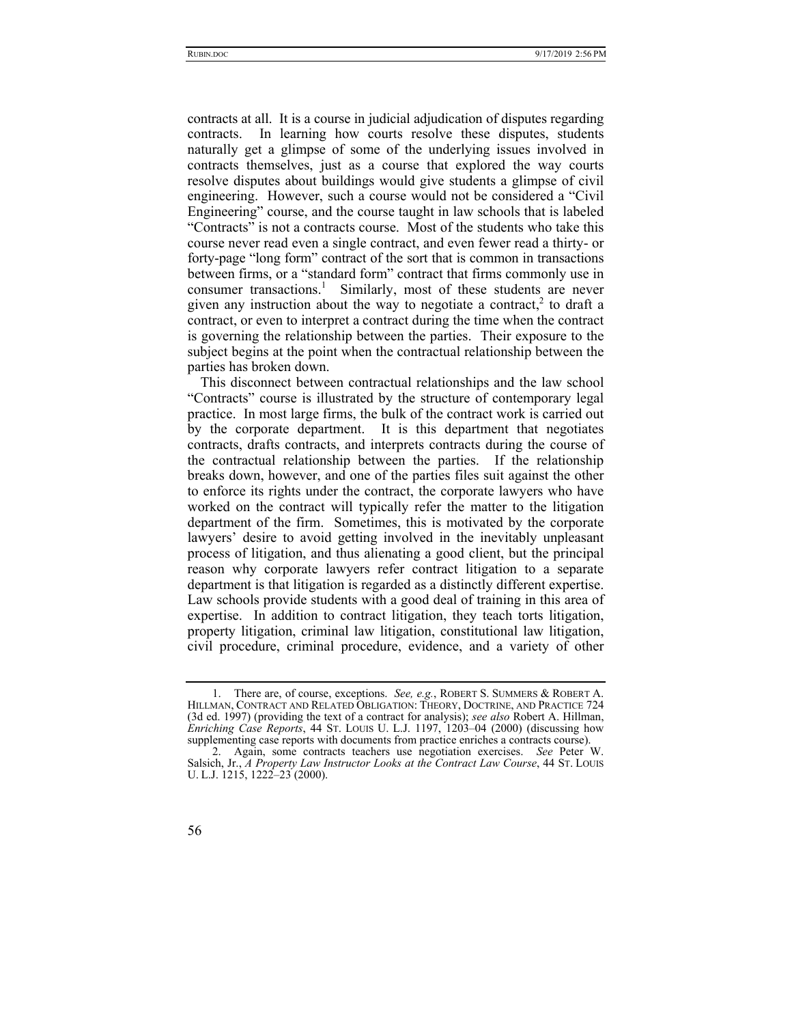contracts at all. It is a course in judicial adjudication of disputes regarding contracts. In learning how courts resolve these disputes, students naturally get a glimpse of some of the underlying issues involved in contracts themselves, just as a course that explored the way courts resolve disputes about buildings would give students a glimpse of civil engineering. However, such a course would not be considered a "Civil Engineering" course, and the course taught in law schools that is labeled "Contracts" is not a contracts course. Most of the students who take this course never read even a single contract, and even fewer read a thirty- or forty-page "long form" contract of the sort that is common in transactions between firms, or a "standard form" contract that firms commonly use in consumer transactions.<sup>1</sup> Similarly, most of these students are never given any instruction about the way to negotiate a contract,<sup>2</sup> to draft a contract, or even to interpret a contract during the time when the contract is governing the relationship between the parties. Their exposure to the subject begins at the point when the contractual relationship between the parties has broken down.

This disconnect between contractual relationships and the law school "Contracts" course is illustrated by the structure of contemporary legal practice. In most large firms, the bulk of the contract work is carried out by the corporate department. It is this department that negotiates contracts, drafts contracts, and interprets contracts during the course of the contractual relationship between the parties. If the relationship breaks down, however, and one of the parties files suit against the other to enforce its rights under the contract, the corporate lawyers who have worked on the contract will typically refer the matter to the litigation department of the firm. Sometimes, this is motivated by the corporate lawyers' desire to avoid getting involved in the inevitably unpleasant process of litigation, and thus alienating a good client, but the principal reason why corporate lawyers refer contract litigation to a separate department is that litigation is regarded as a distinctly different expertise. Law schools provide students with a good deal of training in this area of expertise. In addition to contract litigation, they teach torts litigation, property litigation, criminal law litigation, constitutional law litigation, civil procedure, criminal procedure, evidence, and a variety of other

 <sup>1.</sup> There are, of course, exceptions. *See, e.g.*, ROBERT S. SUMMERS & ROBERT A. HILLMAN, CONTRACT AND RELATED OBLIGATION: THEORY, DOCTRINE, AND PRACTICE 724 (3d ed. 1997) (providing the text of a contract for analysis); *see also* Robert A. Hillman, *Enriching Case Reports*, 44 ST. LOUIS U. L.J. 1197, 1203–04 (2000) (discussing how supplementing case reports with documents from practice enriches a contracts course).

 <sup>2.</sup> Again, some contracts teachers use negotiation exercises. *See* Peter W. Salsich, Jr., *A Property Law Instructor Looks at the Contract Law Course*, 44 ST. LOUIS U. L.J. 1215, 1222–23 (2000).

<sup>56</sup>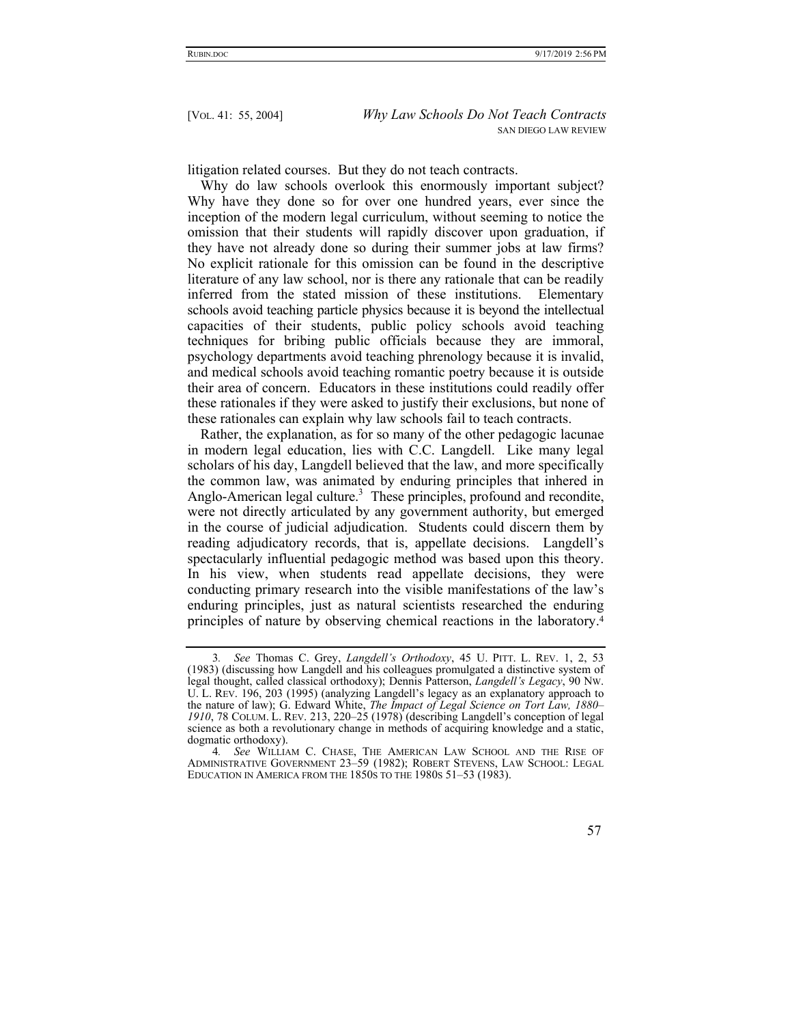litigation related courses. But they do not teach contracts.

Why do law schools overlook this enormously important subject? Why have they done so for over one hundred years, ever since the inception of the modern legal curriculum, without seeming to notice the omission that their students will rapidly discover upon graduation, if they have not already done so during their summer jobs at law firms? No explicit rationale for this omission can be found in the descriptive literature of any law school, nor is there any rationale that can be readily inferred from the stated mission of these institutions. Elementary schools avoid teaching particle physics because it is beyond the intellectual capacities of their students, public policy schools avoid teaching techniques for bribing public officials because they are immoral, psychology departments avoid teaching phrenology because it is invalid, and medical schools avoid teaching romantic poetry because it is outside their area of concern. Educators in these institutions could readily offer these rationales if they were asked to justify their exclusions, but none of these rationales can explain why law schools fail to teach contracts.

Rather, the explanation, as for so many of the other pedagogic lacunae in modern legal education, lies with C.C. Langdell. Like many legal scholars of his day, Langdell believed that the law, and more specifically the common law, was animated by enduring principles that inhered in Anglo-American legal culture.<sup>3</sup> These principles, profound and recondite, were not directly articulated by any government authority, but emerged in the course of judicial adjudication. Students could discern them by reading adjudicatory records, that is, appellate decisions. Langdell's spectacularly influential pedagogic method was based upon this theory. In his view, when students read appellate decisions, they were conducting primary research into the visible manifestations of the law's enduring principles, just as natural scientists researched the enduring principles of nature by observing chemical reactions in the laboratory.4

<sup>3</sup>*. See* Thomas C. Grey, *Langdell's Orthodoxy*, 45 U. PITT. L. REV. 1, 2, 53 (1983) (discussing how Langdell and his colleagues promulgated a distinctive system of legal thought, called classical orthodoxy); Dennis Patterson, *Langdell's Legacy*, 90 NW. U. L. REV. 196, 203 (1995) (analyzing Langdell's legacy as an explanatory approach to the nature of law); G. Edward White, *The Impact of Legal Science on Tort Law, 1880– 1910*, 78 COLUM. L. REV. 213, 220–25 (1978) (describing Langdell's conception of legal science as both a revolutionary change in methods of acquiring knowledge and a static, dogmatic orthodoxy).

<sup>4</sup>*. See* WILLIAM C. CHASE, THE AMERICAN LAW SCHOOL AND THE RISE OF ADMINISTRATIVE GOVERNMENT 23–59 (1982); ROBERT STEVENS, LAW SCHOOL: LEGAL EDUCATION IN AMERICA FROM THE 1850S TO THE 1980S 51–53 (1983).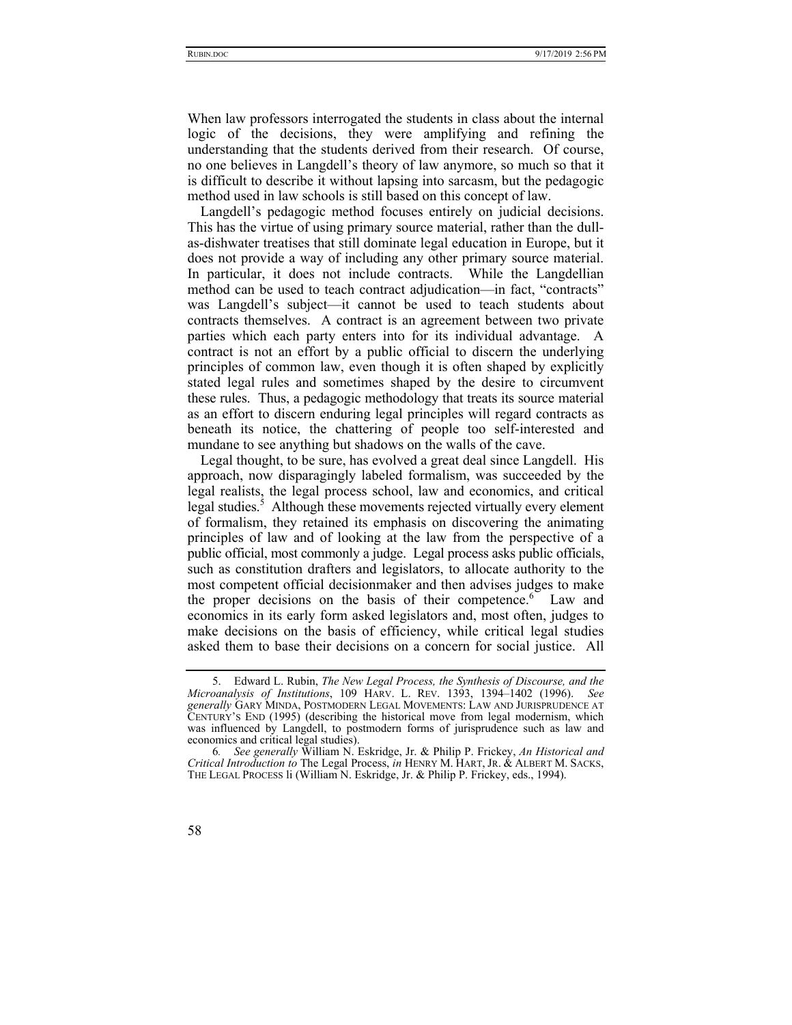When law professors interrogated the students in class about the internal logic of the decisions, they were amplifying and refining the understanding that the students derived from their research. Of course, no one believes in Langdell's theory of law anymore, so much so that it is difficult to describe it without lapsing into sarcasm, but the pedagogic method used in law schools is still based on this concept of law.

Langdell's pedagogic method focuses entirely on judicial decisions. This has the virtue of using primary source material, rather than the dullas-dishwater treatises that still dominate legal education in Europe, but it does not provide a way of including any other primary source material. In particular, it does not include contracts. While the Langdellian method can be used to teach contract adjudication—in fact, "contracts" was Langdell's subject—it cannot be used to teach students about contracts themselves. A contract is an agreement between two private parties which each party enters into for its individual advantage. A contract is not an effort by a public official to discern the underlying principles of common law, even though it is often shaped by explicitly stated legal rules and sometimes shaped by the desire to circumvent these rules. Thus, a pedagogic methodology that treats its source material as an effort to discern enduring legal principles will regard contracts as beneath its notice, the chattering of people too self-interested and mundane to see anything but shadows on the walls of the cave.

Legal thought, to be sure, has evolved a great deal since Langdell. His approach, now disparagingly labeled formalism, was succeeded by the legal realists, the legal process school, law and economics, and critical legal studies.<sup>5</sup> Although these movements rejected virtually every element of formalism, they retained its emphasis on discovering the animating principles of law and of looking at the law from the perspective of a public official, most commonly a judge. Legal process asks public officials, such as constitution drafters and legislators, to allocate authority to the most competent official decisionmaker and then advises judges to make the proper decisions on the basis of their competence.<sup>6</sup> Law and economics in its early form asked legislators and, most often, judges to make decisions on the basis of efficiency, while critical legal studies asked them to base their decisions on a concern for social justice. All

 <sup>5.</sup> Edward L. Rubin, *The New Legal Process, the Synthesis of Discourse, and the Microanalysis of Institutions*, 109 HARV. L. REV. 1393, 1394–1402 (1996). *See generally* GARY MINDA, POSTMODERN LEGAL MOVEMENTS: LAW AND JURISPRUDENCE AT CENTURY'S END (1995) (describing the historical move from legal modernism, which was influenced by Langdell, to postmodern forms of jurisprudence such as law and economics and critical legal studies).

<sup>6</sup>*. See generally* William N. Eskridge, Jr. & Philip P. Frickey, *An Historical and Critical Introduction to* The Legal Process, *in* HENRY M. HART, JR. & ALBERT M. SACKS, THE LEGAL PROCESS li (William N. Eskridge, Jr. & Philip P. Frickey, eds., 1994).

<sup>58</sup>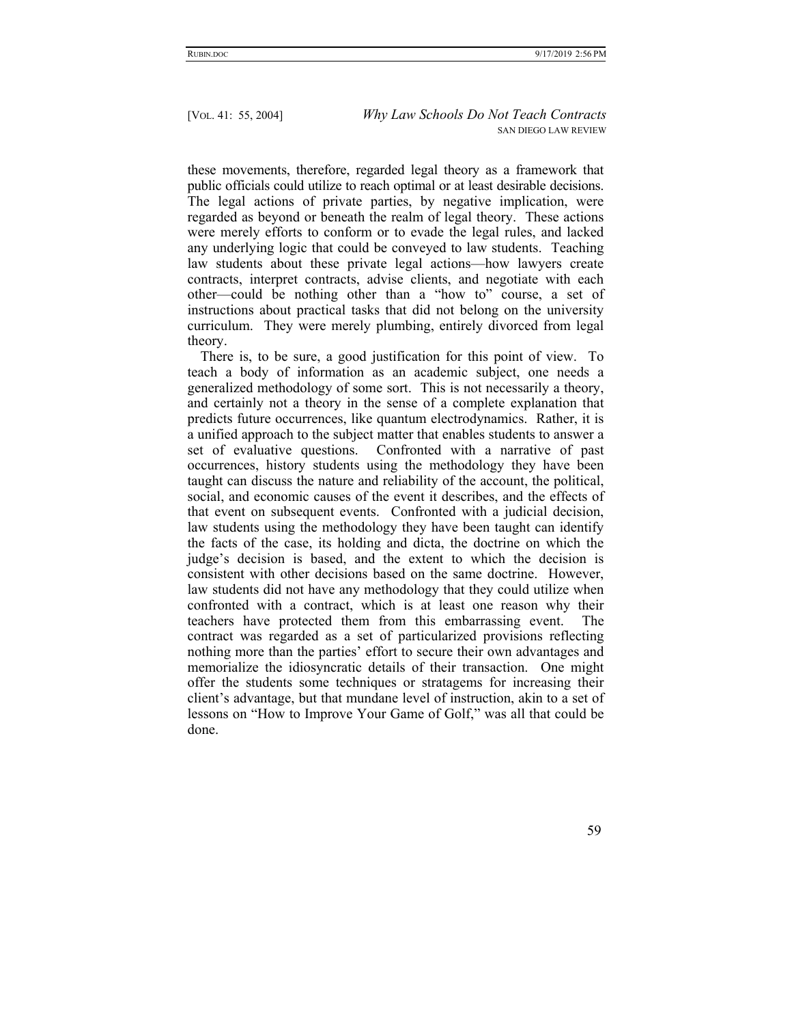these movements, therefore, regarded legal theory as a framework that public officials could utilize to reach optimal or at least desirable decisions. The legal actions of private parties, by negative implication, were regarded as beyond or beneath the realm of legal theory. These actions were merely efforts to conform or to evade the legal rules, and lacked any underlying logic that could be conveyed to law students. Teaching law students about these private legal actions—how lawyers create contracts, interpret contracts, advise clients, and negotiate with each other—could be nothing other than a "how to" course, a set of instructions about practical tasks that did not belong on the university curriculum. They were merely plumbing, entirely divorced from legal theory.

There is, to be sure, a good justification for this point of view. To teach a body of information as an academic subject, one needs a generalized methodology of some sort. This is not necessarily a theory, and certainly not a theory in the sense of a complete explanation that predicts future occurrences, like quantum electrodynamics. Rather, it is a unified approach to the subject matter that enables students to answer a set of evaluative questions. Confronted with a narrative of past occurrences, history students using the methodology they have been taught can discuss the nature and reliability of the account, the political, social, and economic causes of the event it describes, and the effects of that event on subsequent events. Confronted with a judicial decision, law students using the methodology they have been taught can identify the facts of the case, its holding and dicta, the doctrine on which the judge's decision is based, and the extent to which the decision is consistent with other decisions based on the same doctrine. However, law students did not have any methodology that they could utilize when confronted with a contract, which is at least one reason why their teachers have protected them from this embarrassing event. The contract was regarded as a set of particularized provisions reflecting nothing more than the parties' effort to secure their own advantages and memorialize the idiosyncratic details of their transaction. One might offer the students some techniques or stratagems for increasing their client's advantage, but that mundane level of instruction, akin to a set of lessons on "How to Improve Your Game of Golf," was all that could be done.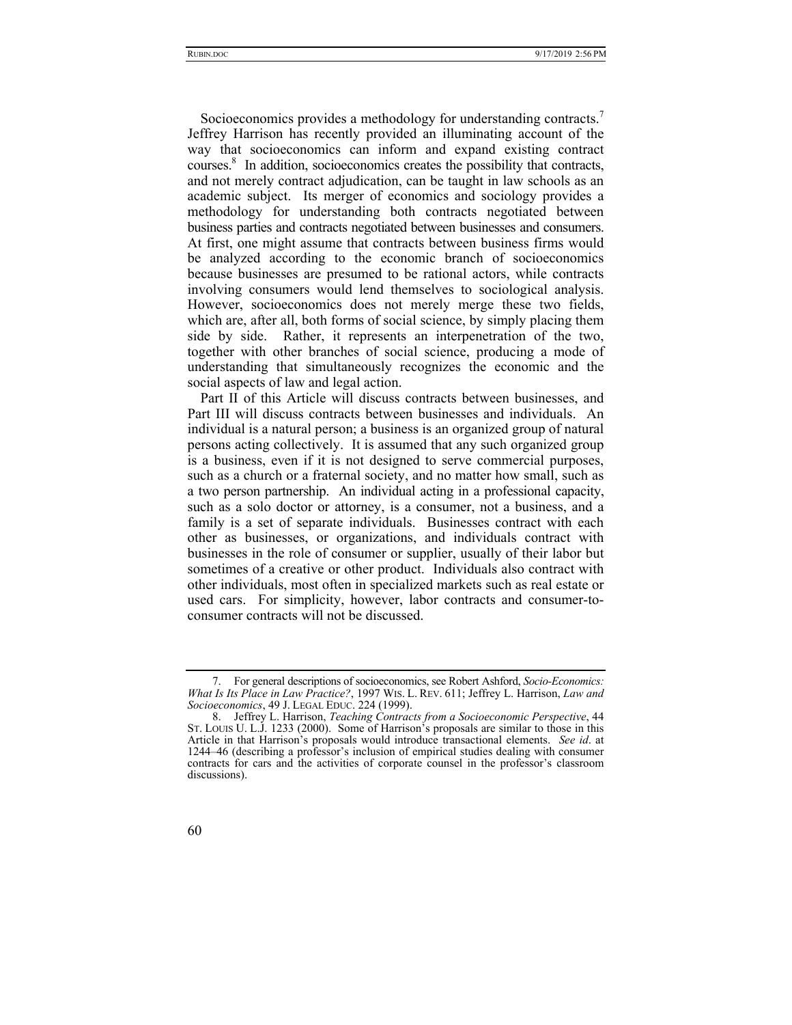Socioeconomics provides a methodology for understanding contracts.<sup>7</sup> Jeffrey Harrison has recently provided an illuminating account of the way that socioeconomics can inform and expand existing contract courses.8 In addition, socioeconomics creates the possibility that contracts, and not merely contract adjudication, can be taught in law schools as an academic subject. Its merger of economics and sociology provides a methodology for understanding both contracts negotiated between business parties and contracts negotiated between businesses and consumers. At first, one might assume that contracts between business firms would be analyzed according to the economic branch of socioeconomics because businesses are presumed to be rational actors, while contracts involving consumers would lend themselves to sociological analysis. However, socioeconomics does not merely merge these two fields, which are, after all, both forms of social science, by simply placing them side by side. Rather, it represents an interpenetration of the two, together with other branches of social science, producing a mode of understanding that simultaneously recognizes the economic and the social aspects of law and legal action.

Part II of this Article will discuss contracts between businesses, and Part III will discuss contracts between businesses and individuals. An individual is a natural person; a business is an organized group of natural persons acting collectively. It is assumed that any such organized group is a business, even if it is not designed to serve commercial purposes, such as a church or a fraternal society, and no matter how small, such as a two person partnership. An individual acting in a professional capacity, such as a solo doctor or attorney, is a consumer, not a business, and a family is a set of separate individuals. Businesses contract with each other as businesses, or organizations, and individuals contract with businesses in the role of consumer or supplier, usually of their labor but sometimes of a creative or other product. Individuals also contract with other individuals, most often in specialized markets such as real estate or used cars. For simplicity, however, labor contracts and consumer-toconsumer contracts will not be discussed.

 <sup>7.</sup> For general descriptions of socioeconomics, see Robert Ashford, *Socio-Economics: What Is Its Place in Law Practice?*, 1997 WIS. L. REV. 611; Jeffrey L. Harrison, *Law and Socioeconomics*, 49 J. LEGAL EDUC. 224 (1999).

 <sup>8.</sup> Jeffrey L. Harrison, *Teaching Contracts from a Socioeconomic Perspective*, 44 ST. LOUIS U. L.J. 1233 (2000). Some of Harrison's proposals are similar to those in this Article in that Harrison's proposals would introduce transactional elements. *See id*. at 1244–46 (describing a professor's inclusion of empirical studies dealing with consumer contracts for cars and the activities of corporate counsel in the professor's classroom discussions).

<sup>60</sup>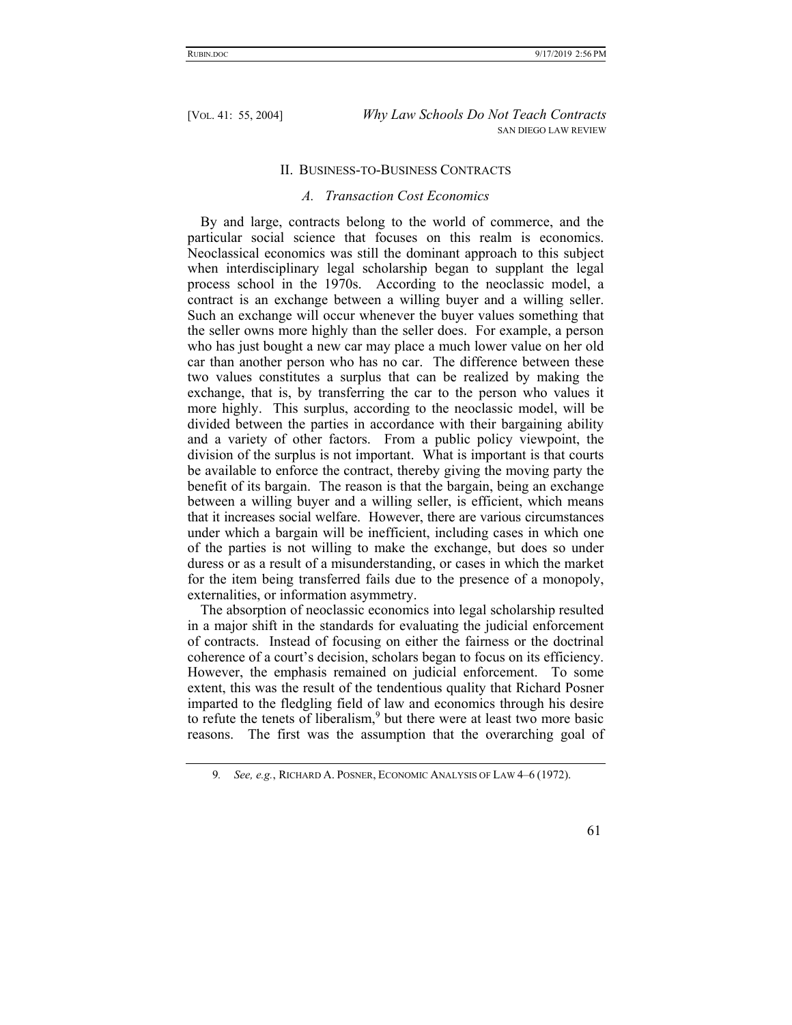# II. BUSINESS-TO-BUSINESS CONTRACTS

#### *A. Transaction Cost Economics*

By and large, contracts belong to the world of commerce, and the particular social science that focuses on this realm is economics. Neoclassical economics was still the dominant approach to this subject when interdisciplinary legal scholarship began to supplant the legal process school in the 1970s. According to the neoclassic model, a contract is an exchange between a willing buyer and a willing seller. Such an exchange will occur whenever the buyer values something that the seller owns more highly than the seller does. For example, a person who has just bought a new car may place a much lower value on her old car than another person who has no car. The difference between these two values constitutes a surplus that can be realized by making the exchange, that is, by transferring the car to the person who values it more highly. This surplus, according to the neoclassic model, will be divided between the parties in accordance with their bargaining ability and a variety of other factors. From a public policy viewpoint, the division of the surplus is not important. What is important is that courts be available to enforce the contract, thereby giving the moving party the benefit of its bargain. The reason is that the bargain, being an exchange between a willing buyer and a willing seller, is efficient, which means that it increases social welfare. However, there are various circumstances under which a bargain will be inefficient, including cases in which one of the parties is not willing to make the exchange, but does so under duress or as a result of a misunderstanding, or cases in which the market for the item being transferred fails due to the presence of a monopoly, externalities, or information asymmetry.

The absorption of neoclassic economics into legal scholarship resulted in a major shift in the standards for evaluating the judicial enforcement of contracts. Instead of focusing on either the fairness or the doctrinal coherence of a court's decision, scholars began to focus on its efficiency. However, the emphasis remained on judicial enforcement. To some extent, this was the result of the tendentious quality that Richard Posner imparted to the fledgling field of law and economics through his desire to refute the tenets of liberalism,<sup>9</sup> but there were at least two more basic reasons. The first was the assumption that the overarching goal of

<sup>9</sup>*. See, e.g.*, RICHARD A. POSNER, ECONOMIC ANALYSIS OF LAW 4–6 (1972).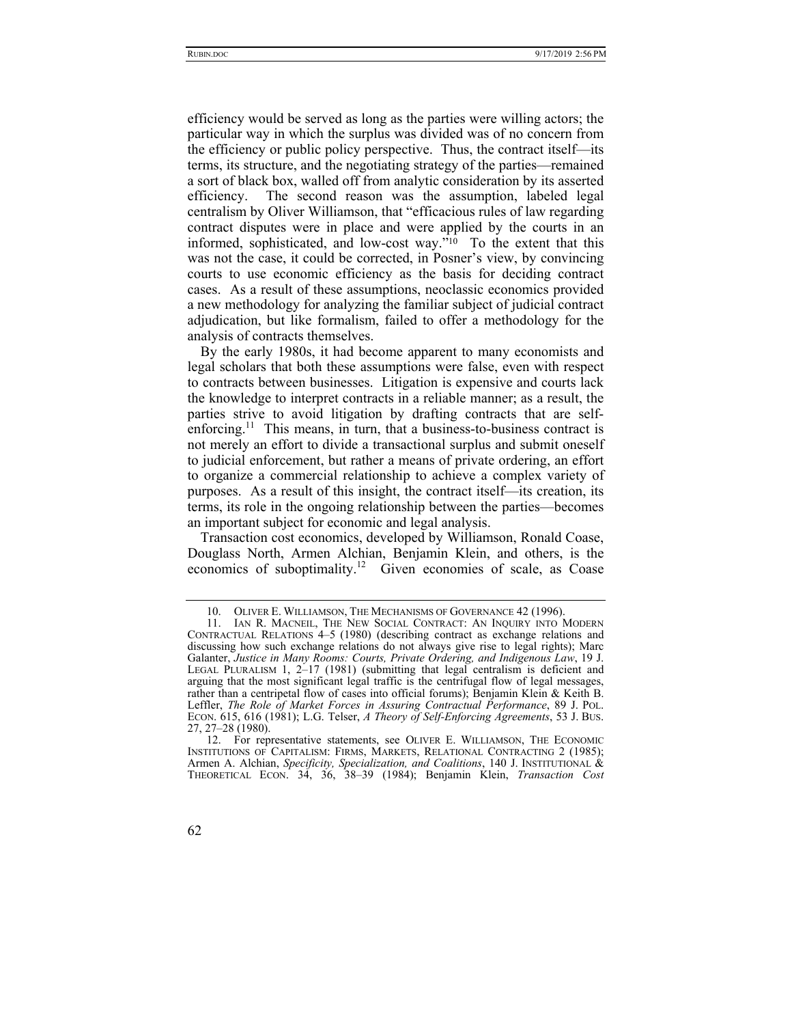efficiency would be served as long as the parties were willing actors; the particular way in which the surplus was divided was of no concern from the efficiency or public policy perspective. Thus, the contract itself—its terms, its structure, and the negotiating strategy of the parties—remained a sort of black box, walled off from analytic consideration by its asserted efficiency. The second reason was the assumption, labeled legal centralism by Oliver Williamson, that "efficacious rules of law regarding contract disputes were in place and were applied by the courts in an informed, sophisticated, and low-cost way."10 To the extent that this was not the case, it could be corrected, in Posner's view, by convincing courts to use economic efficiency as the basis for deciding contract cases. As a result of these assumptions, neoclassic economics provided a new methodology for analyzing the familiar subject of judicial contract adjudication, but like formalism, failed to offer a methodology for the analysis of contracts themselves.

By the early 1980s, it had become apparent to many economists and legal scholars that both these assumptions were false, even with respect to contracts between businesses. Litigation is expensive and courts lack the knowledge to interpret contracts in a reliable manner; as a result, the parties strive to avoid litigation by drafting contracts that are selfenforcing.<sup>11</sup> This means, in turn, that a business-to-business contract is not merely an effort to divide a transactional surplus and submit oneself to judicial enforcement, but rather a means of private ordering, an effort to organize a commercial relationship to achieve a complex variety of purposes. As a result of this insight, the contract itself—its creation, its terms, its role in the ongoing relationship between the parties—becomes an important subject for economic and legal analysis.

Transaction cost economics, developed by Williamson, Ronald Coase, Douglass North, Armen Alchian, Benjamin Klein, and others, is the economics of suboptimality.12 Given economies of scale, as Coase

 <sup>10.</sup> OLIVER E. WILLIAMSON, THE MECHANISMS OF GOVERNANCE 42 (1996).

 <sup>11.</sup> IAN R. MACNEIL, THE NEW SOCIAL CONTRACT: AN INQUIRY INTO MODERN CONTRACTUAL RELATIONS 4–5 (1980) (describing contract as exchange relations and discussing how such exchange relations do not always give rise to legal rights); Marc Galanter, *Justice in Many Rooms: Courts, Private Ordering, and Indigenous Law*, 19 J. LEGAL PLURALISM 1, 2-17 (1981) (submitting that legal centralism is deficient and arguing that the most significant legal traffic is the centrifugal flow of legal messages, rather than a centripetal flow of cases into official forums); Benjamin Klein & Keith B. Leffler, *The Role of Market Forces in Assuring Contractual Performance*, 89 J. POL. ECON. 615, 616 (1981); L.G. Telser, *A Theory of Self-Enforcing Agreements*, 53 J. BUS. 27, 27–28 (1980).

 <sup>12.</sup> For representative statements, see OLIVER E. WILLIAMSON, THE ECONOMIC INSTITUTIONS OF CAPITALISM: FIRMS, MARKETS, RELATIONAL CONTRACTING 2 (1985); Armen A. Alchian, *Specificity, Specialization, and Coalitions*, 140 J. INSTITUTIONAL & THEORETICAL ECON. 34, 36, 38–39 (1984); Benjamin Klein, *Transaction Cost* 

<sup>62</sup>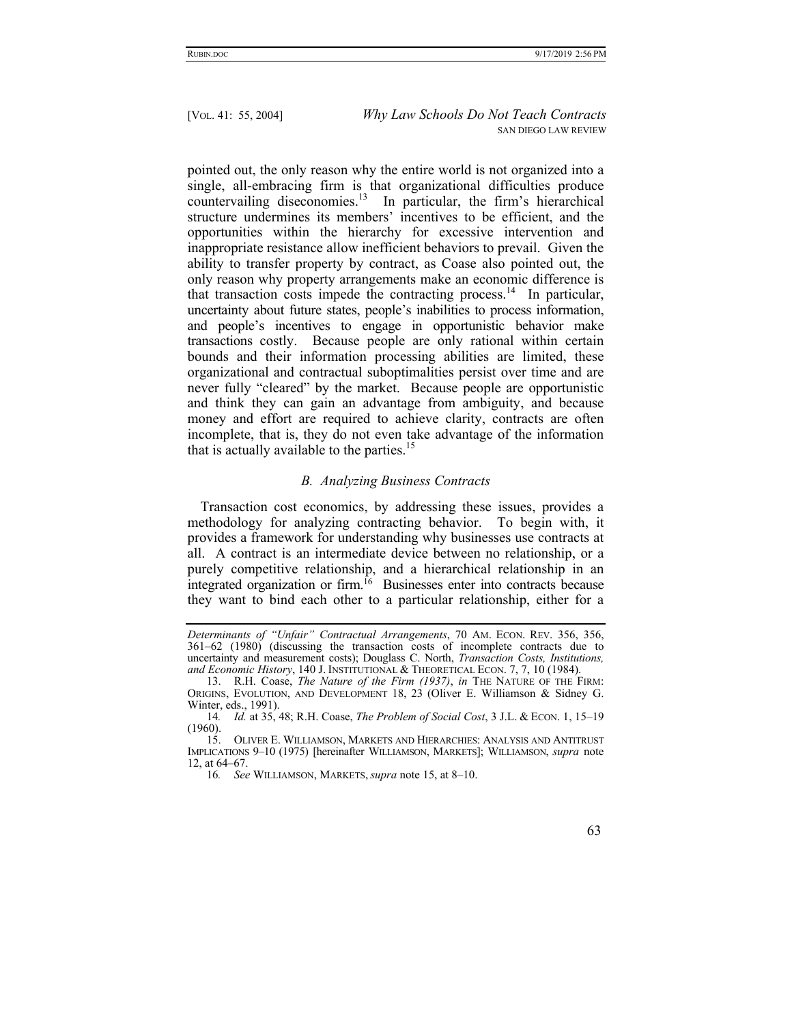pointed out, the only reason why the entire world is not organized into a single, all-embracing firm is that organizational difficulties produce countervailing diseconomies.<sup>13</sup> In particular, the firm's hierarchical structure undermines its members' incentives to be efficient, and the opportunities within the hierarchy for excessive intervention and inappropriate resistance allow inefficient behaviors to prevail. Given the ability to transfer property by contract, as Coase also pointed out, the only reason why property arrangements make an economic difference is that transaction costs impede the contracting process.<sup>14</sup> In particular, uncertainty about future states, people's inabilities to process information, and people's incentives to engage in opportunistic behavior make transactions costly. Because people are only rational within certain bounds and their information processing abilities are limited, these organizational and contractual suboptimalities persist over time and are never fully "cleared" by the market. Because people are opportunistic and think they can gain an advantage from ambiguity, and because money and effort are required to achieve clarity, contracts are often incomplete, that is, they do not even take advantage of the information that is actually available to the parties.<sup>15</sup>

# *B. Analyzing Business Contracts*

Transaction cost economics, by addressing these issues, provides a methodology for analyzing contracting behavior. To begin with, it provides a framework for understanding why businesses use contracts at all. A contract is an intermediate device between no relationship, or a purely competitive relationship, and a hierarchical relationship in an integrated organization or firm.<sup>16</sup> Businesses enter into contracts because they want to bind each other to a particular relationship, either for a

*Determinants of "Unfair" Contractual Arrangements*, 70 AM. ECON. REV. 356, 356, 361–62 (1980) (discussing the transaction costs of incomplete contracts due to uncertainty and measurement costs); Douglass C. North, *Transaction Costs, Institutions, and Economic History*, 140 J. INSTITUTIONAL & THEORETICAL ECON. 7, 7, 10 (1984).

 <sup>13.</sup> R.H. Coase, *The Nature of the Firm (1937)*, *in* THE NATURE OF THE FIRM: ORIGINS, EVOLUTION, AND DEVELOPMENT 18, 23 (Oliver E. Williamson & Sidney G. Winter, eds., 1991).

<sup>14</sup>*. Id.* at 35, 48; R.H. Coase, *The Problem of Social Cost*, 3 J.L. & ECON. 1, 15–19 (1960).

 <sup>15.</sup> OLIVER E. WILLIAMSON, MARKETS AND HIERARCHIES: ANALYSIS AND ANTITRUST IMPLICATIONS 9–10 (1975) [hereinafter WILLIAMSON, MARKETS]; WILLIAMSON, *supra* note 12, at 64–67.

<sup>16</sup>*. See* WILLIAMSON, MARKETS, *supra* note 15, at 8–10.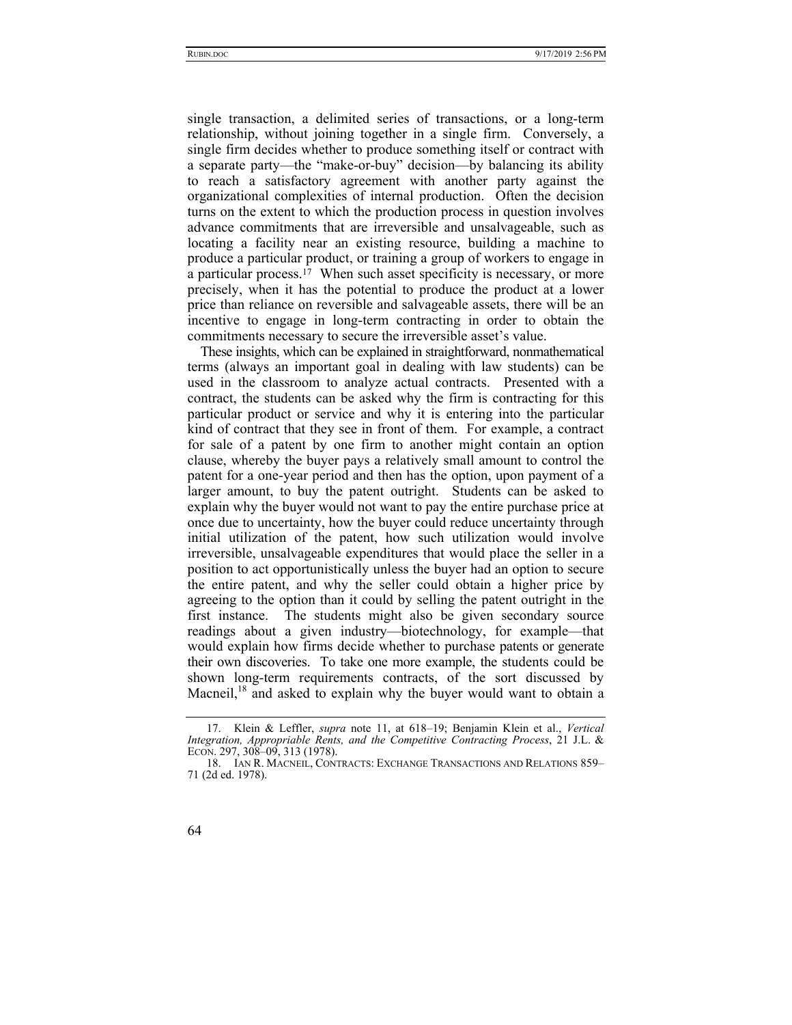single transaction, a delimited series of transactions, or a long-term relationship, without joining together in a single firm. Conversely, a single firm decides whether to produce something itself or contract with a separate party—the "make-or-buy" decision—by balancing its ability to reach a satisfactory agreement with another party against the organizational complexities of internal production. Often the decision turns on the extent to which the production process in question involves advance commitments that are irreversible and unsalvageable, such as locating a facility near an existing resource, building a machine to produce a particular product, or training a group of workers to engage in a particular process.17 When such asset specificity is necessary, or more precisely, when it has the potential to produce the product at a lower price than reliance on reversible and salvageable assets, there will be an incentive to engage in long-term contracting in order to obtain the commitments necessary to secure the irreversible asset's value.

These insights, which can be explained in straightforward, nonmathematical terms (always an important goal in dealing with law students) can be used in the classroom to analyze actual contracts. Presented with a contract, the students can be asked why the firm is contracting for this particular product or service and why it is entering into the particular kind of contract that they see in front of them. For example, a contract for sale of a patent by one firm to another might contain an option clause, whereby the buyer pays a relatively small amount to control the patent for a one-year period and then has the option, upon payment of a larger amount, to buy the patent outright. Students can be asked to explain why the buyer would not want to pay the entire purchase price at once due to uncertainty, how the buyer could reduce uncertainty through initial utilization of the patent, how such utilization would involve irreversible, unsalvageable expenditures that would place the seller in a position to act opportunistically unless the buyer had an option to secure the entire patent, and why the seller could obtain a higher price by agreeing to the option than it could by selling the patent outright in the first instance. The students might also be given secondary source readings about a given industry—biotechnology, for example—that would explain how firms decide whether to purchase patents or generate their own discoveries. To take one more example, the students could be shown long-term requirements contracts, of the sort discussed by Macneil, $18$  and asked to explain why the buyer would want to obtain a

 <sup>18.</sup> IAN R. MACNEIL, CONTRACTS: EXCHANGE TRANSACTIONS AND RELATIONS 859– 71 (2d ed. 1978).



 <sup>17.</sup> Klein & Leffler, *supra* note 11, at 618–19; Benjamin Klein et al., *Vertical Integration, Appropriable Rents, and the Competitive Contracting Process*, 21 J.L. & ECON. 297, 308–09, 313 (1978).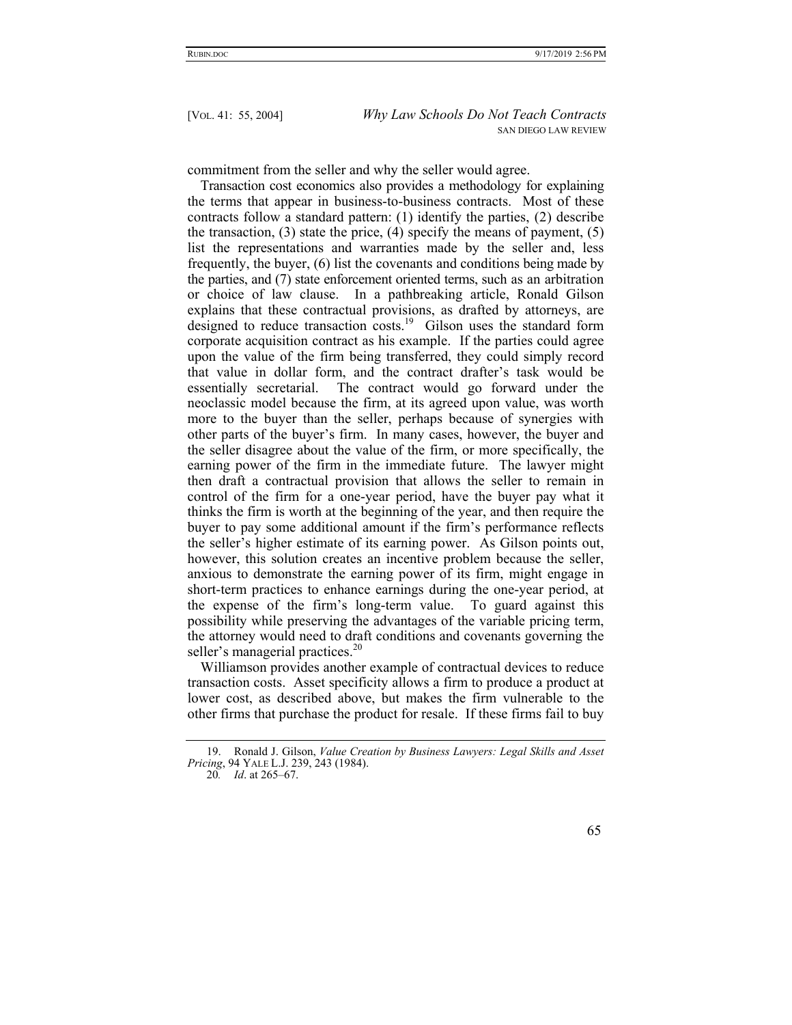commitment from the seller and why the seller would agree.

Transaction cost economics also provides a methodology for explaining the terms that appear in business-to-business contracts. Most of these contracts follow a standard pattern: (1) identify the parties, (2) describe the transaction, (3) state the price, (4) specify the means of payment, (5) list the representations and warranties made by the seller and, less frequently, the buyer, (6) list the covenants and conditions being made by the parties, and (7) state enforcement oriented terms, such as an arbitration or choice of law clause. In a pathbreaking article, Ronald Gilson explains that these contractual provisions, as drafted by attorneys, are designed to reduce transaction costs.<sup>19</sup> Gilson uses the standard form corporate acquisition contract as his example. If the parties could agree upon the value of the firm being transferred, they could simply record that value in dollar form, and the contract drafter's task would be essentially secretarial. The contract would go forward under the neoclassic model because the firm, at its agreed upon value, was worth more to the buyer than the seller, perhaps because of synergies with other parts of the buyer's firm. In many cases, however, the buyer and the seller disagree about the value of the firm, or more specifically, the earning power of the firm in the immediate future. The lawyer might then draft a contractual provision that allows the seller to remain in control of the firm for a one-year period, have the buyer pay what it thinks the firm is worth at the beginning of the year, and then require the buyer to pay some additional amount if the firm's performance reflects the seller's higher estimate of its earning power. As Gilson points out, however, this solution creates an incentive problem because the seller, anxious to demonstrate the earning power of its firm, might engage in short-term practices to enhance earnings during the one-year period, at the expense of the firm's long-term value. To guard against this possibility while preserving the advantages of the variable pricing term, the attorney would need to draft conditions and covenants governing the seller's managerial practices.<sup>20</sup>

Williamson provides another example of contractual devices to reduce transaction costs. Asset specificity allows a firm to produce a product at lower cost, as described above, but makes the firm vulnerable to the other firms that purchase the product for resale. If these firms fail to buy

 <sup>19.</sup> Ronald J. Gilson, *Value Creation by Business Lawyers: Legal Skills and Asset Pricing*, 94 YALE L.J. 239, 243 (1984).

<sup>20</sup>*. Id*. at 265–67.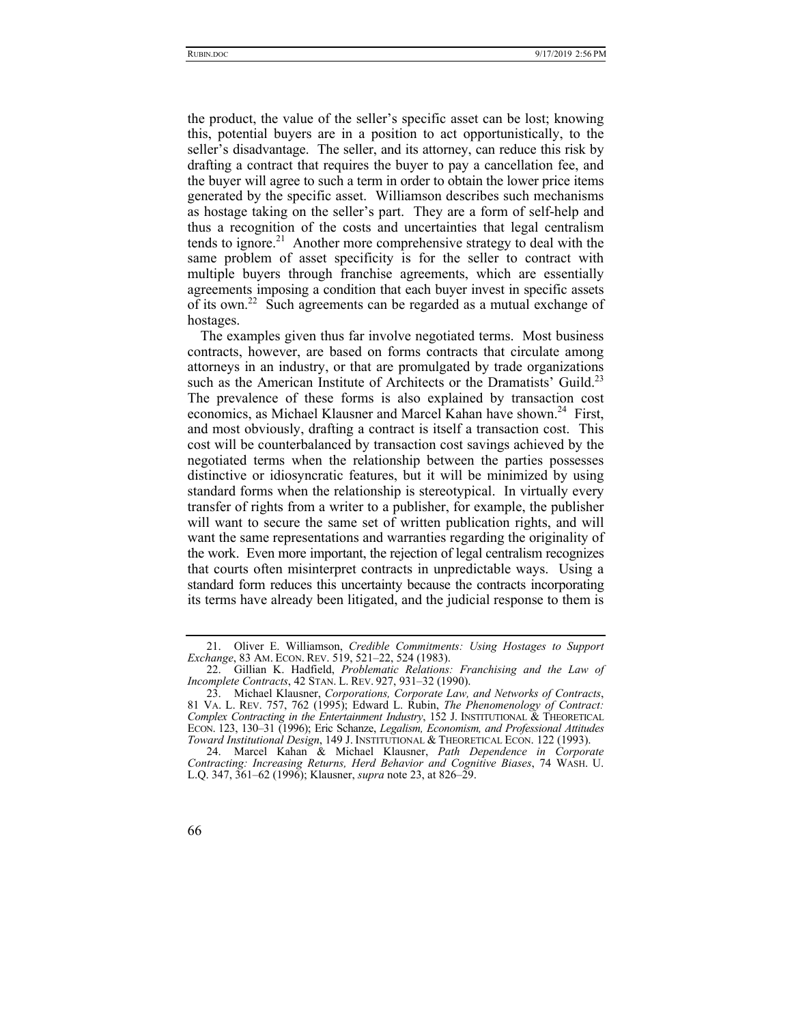the product, the value of the seller's specific asset can be lost; knowing this, potential buyers are in a position to act opportunistically, to the seller's disadvantage. The seller, and its attorney, can reduce this risk by drafting a contract that requires the buyer to pay a cancellation fee, and the buyer will agree to such a term in order to obtain the lower price items generated by the specific asset. Williamson describes such mechanisms as hostage taking on the seller's part. They are a form of self-help and thus a recognition of the costs and uncertainties that legal centralism tends to ignore.<sup>21</sup> Another more comprehensive strategy to deal with the same problem of asset specificity is for the seller to contract with multiple buyers through franchise agreements, which are essentially agreements imposing a condition that each buyer invest in specific assets of its own.<sup>22</sup> Such agreements can be regarded as a mutual exchange of hostages.

The examples given thus far involve negotiated terms. Most business contracts, however, are based on forms contracts that circulate among attorneys in an industry, or that are promulgated by trade organizations such as the American Institute of Architects or the Dramatists' Guild.<sup>23</sup> The prevalence of these forms is also explained by transaction cost economics, as Michael Klausner and Marcel Kahan have shown.<sup>24</sup> First, and most obviously, drafting a contract is itself a transaction cost. This cost will be counterbalanced by transaction cost savings achieved by the negotiated terms when the relationship between the parties possesses distinctive or idiosyncratic features, but it will be minimized by using standard forms when the relationship is stereotypical. In virtually every transfer of rights from a writer to a publisher, for example, the publisher will want to secure the same set of written publication rights, and will want the same representations and warranties regarding the originality of the work. Even more important, the rejection of legal centralism recognizes that courts often misinterpret contracts in unpredictable ways. Using a standard form reduces this uncertainty because the contracts incorporating its terms have already been litigated, and the judicial response to them is

 <sup>21.</sup> Oliver E. Williamson, *Credible Commitments: Using Hostages to Support Exchange*, 83 AM. ECON. REV. 519, 521–22, 524 (1983).

 <sup>22.</sup> Gillian K. Hadfield, *Problematic Relations: Franchising and the Law of Incomplete Contracts*, 42 STAN. L. REV. 927, 931–32 (1990).

 <sup>23.</sup> Michael Klausner, *Corporations, Corporate Law, and Networks of Contracts*, 81 VA. L. REV. 757, 762 (1995); Edward L. Rubin, *The Phenomenology of Contract: Complex Contracting in the Entertainment Industry*, 152 J. INSTITUTIONAL & THEORETICAL ECON. 123, 130–31 (1996); Eric Schanze, *Legalism, Economism, and Professional Attitudes Toward Institutional Design*, 149 J. INSTITUTIONAL & THEORETICAL ECON. 122 (1993).

 <sup>24.</sup> Marcel Kahan & Michael Klausner, *Path Dependence in Corporate Contracting: Increasing Returns, Herd Behavior and Cognitive Biases*, 74 WASH. U. L.Q. 347, 361–62 (1996); Klausner, *supra* note 23, at 826–29.

<sup>66</sup>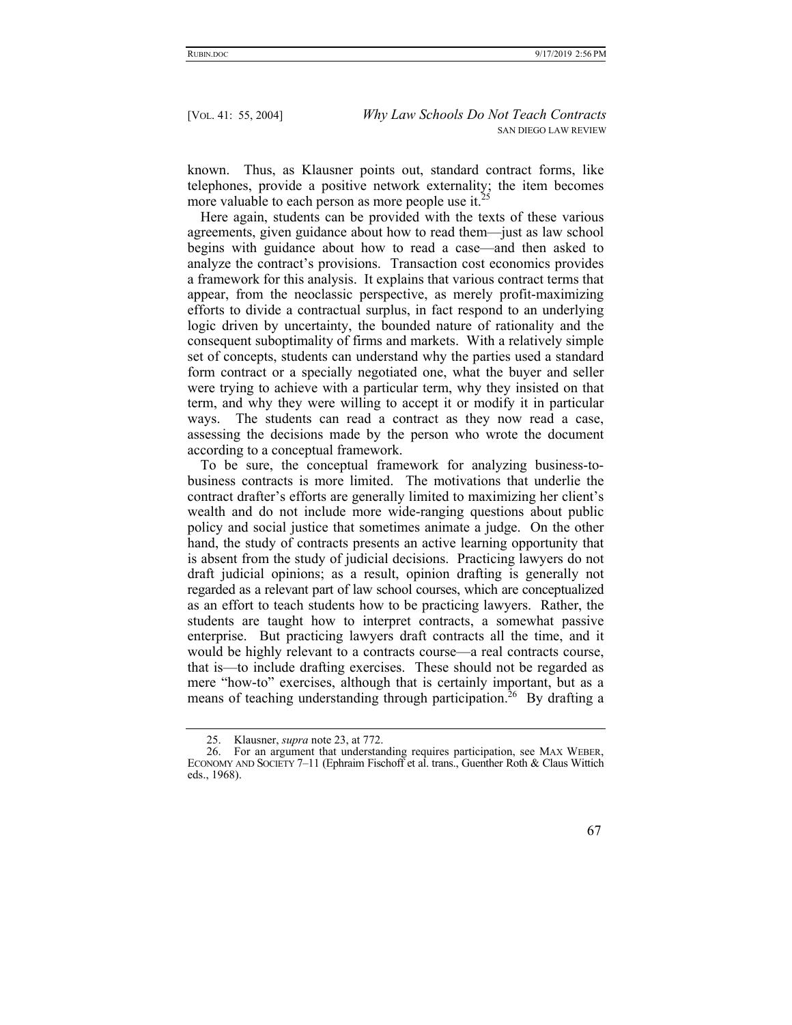known. Thus, as Klausner points out, standard contract forms, like telephones, provide a positive network externality; the item becomes more valuable to each person as more people use it.<sup>25</sup>

Here again, students can be provided with the texts of these various agreements, given guidance about how to read them—just as law school begins with guidance about how to read a case—and then asked to analyze the contract's provisions. Transaction cost economics provides a framework for this analysis. It explains that various contract terms that appear, from the neoclassic perspective, as merely profit-maximizing efforts to divide a contractual surplus, in fact respond to an underlying logic driven by uncertainty, the bounded nature of rationality and the consequent suboptimality of firms and markets. With a relatively simple set of concepts, students can understand why the parties used a standard form contract or a specially negotiated one, what the buyer and seller were trying to achieve with a particular term, why they insisted on that term, and why they were willing to accept it or modify it in particular ways. The students can read a contract as they now read a case, assessing the decisions made by the person who wrote the document according to a conceptual framework.

To be sure, the conceptual framework for analyzing business-tobusiness contracts is more limited. The motivations that underlie the contract drafter's efforts are generally limited to maximizing her client's wealth and do not include more wide-ranging questions about public policy and social justice that sometimes animate a judge. On the other hand, the study of contracts presents an active learning opportunity that is absent from the study of judicial decisions. Practicing lawyers do not draft judicial opinions; as a result, opinion drafting is generally not regarded as a relevant part of law school courses, which are conceptualized as an effort to teach students how to be practicing lawyers. Rather, the students are taught how to interpret contracts, a somewhat passive enterprise. But practicing lawyers draft contracts all the time, and it would be highly relevant to a contracts course—a real contracts course, that is—to include drafting exercises. These should not be regarded as mere "how-to" exercises, although that is certainly important, but as a means of teaching understanding through participation.<sup>26</sup> By drafting a

 <sup>26.</sup> For an argument that understanding requires participation, see MAX WEBER, ECONOMY AND SOCIETY 7–11 (Ephraim Fischoff et al. trans., Guenther Roth & Claus Wittich eds., 1968).



 <sup>25.</sup> Klausner, *supra* note 23, at 772.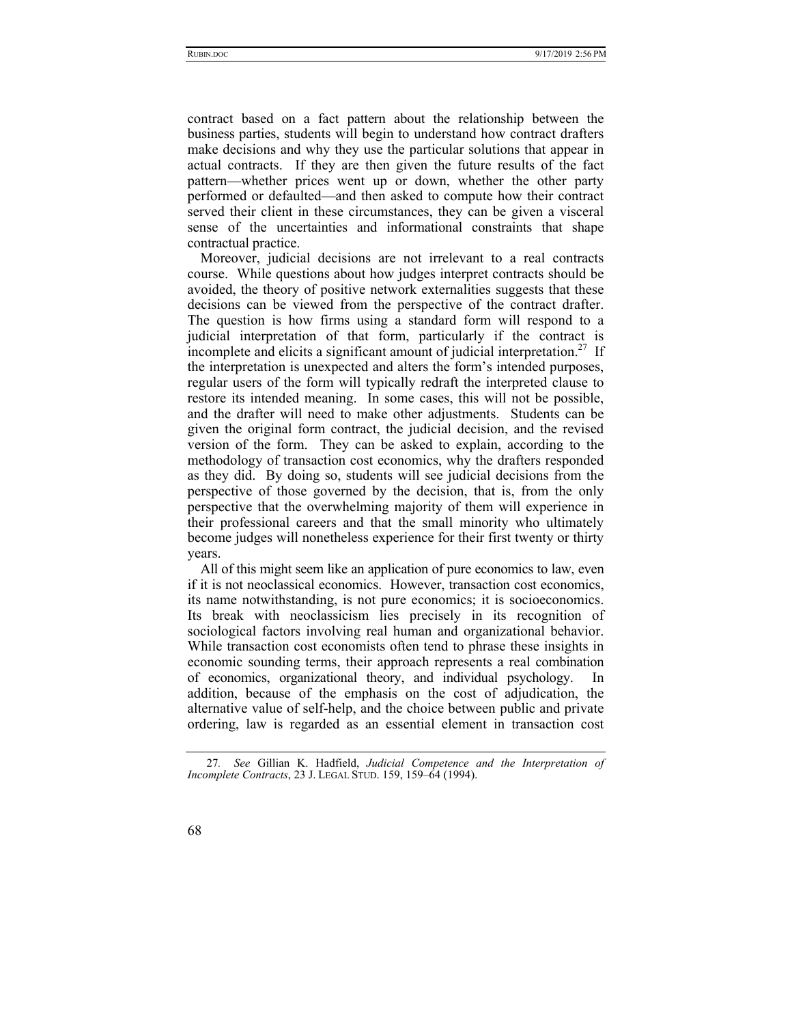contract based on a fact pattern about the relationship between the business parties, students will begin to understand how contract drafters make decisions and why they use the particular solutions that appear in actual contracts. If they are then given the future results of the fact pattern—whether prices went up or down, whether the other party performed or defaulted—and then asked to compute how their contract served their client in these circumstances, they can be given a visceral sense of the uncertainties and informational constraints that shape contractual practice.

Moreover, judicial decisions are not irrelevant to a real contracts course. While questions about how judges interpret contracts should be avoided, the theory of positive network externalities suggests that these decisions can be viewed from the perspective of the contract drafter. The question is how firms using a standard form will respond to a judicial interpretation of that form, particularly if the contract is incomplete and elicits a significant amount of judicial interpretation.<sup>27</sup> If the interpretation is unexpected and alters the form's intended purposes, regular users of the form will typically redraft the interpreted clause to restore its intended meaning. In some cases, this will not be possible, and the drafter will need to make other adjustments. Students can be given the original form contract, the judicial decision, and the revised version of the form. They can be asked to explain, according to the methodology of transaction cost economics, why the drafters responded as they did. By doing so, students will see judicial decisions from the perspective of those governed by the decision, that is, from the only perspective that the overwhelming majority of them will experience in their professional careers and that the small minority who ultimately become judges will nonetheless experience for their first twenty or thirty years.

All of this might seem like an application of pure economics to law, even if it is not neoclassical economics. However, transaction cost economics, its name notwithstanding, is not pure economics; it is socioeconomics. Its break with neoclassicism lies precisely in its recognition of sociological factors involving real human and organizational behavior. While transaction cost economists often tend to phrase these insights in economic sounding terms, their approach represents a real combination of economics, organizational theory, and individual psychology. In addition, because of the emphasis on the cost of adjudication, the alternative value of self-help, and the choice between public and private ordering, law is regarded as an essential element in transaction cost

<sup>27</sup>*. See* Gillian K. Hadfield, *Judicial Competence and the Interpretation of Incomplete Contracts*, 23 J. LEGAL STUD. 159, 159–64 (1994).

<sup>68</sup>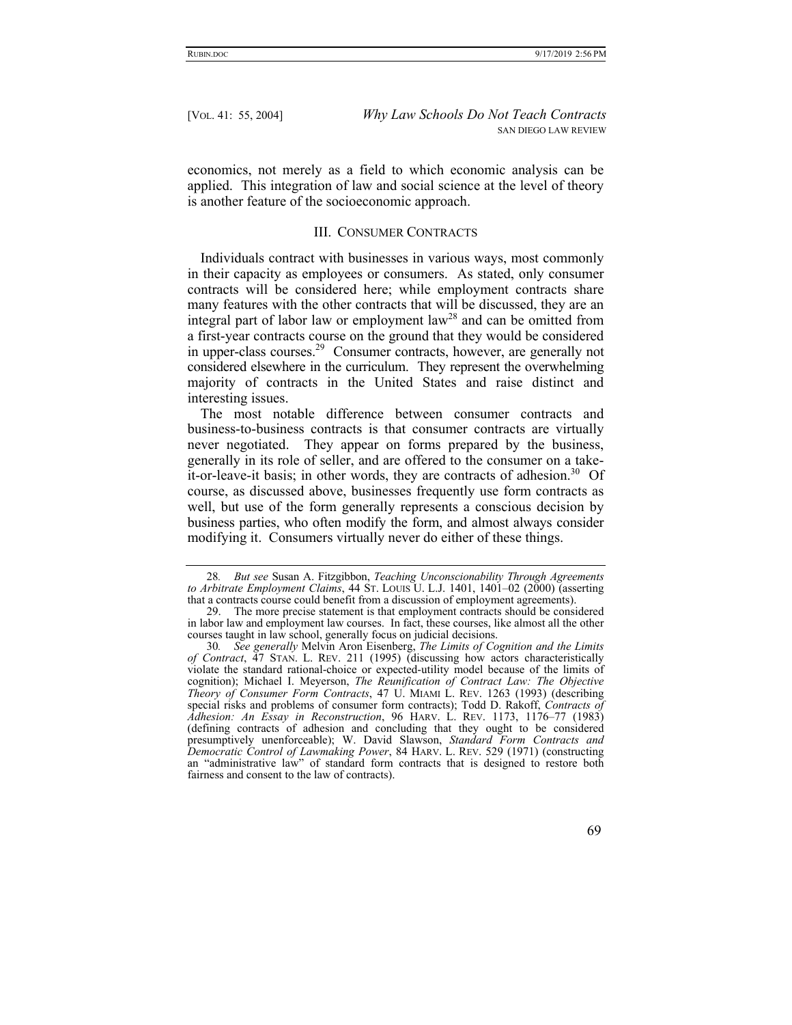economics, not merely as a field to which economic analysis can be applied. This integration of law and social science at the level of theory is another feature of the socioeconomic approach.

#### III. CONSUMER CONTRACTS

Individuals contract with businesses in various ways, most commonly in their capacity as employees or consumers. As stated, only consumer contracts will be considered here; while employment contracts share many features with the other contracts that will be discussed, they are an integral part of labor law or employment law<sup>28</sup> and can be omitted from a first-year contracts course on the ground that they would be considered in upper-class courses.29 Consumer contracts, however, are generally not considered elsewhere in the curriculum. They represent the overwhelming majority of contracts in the United States and raise distinct and interesting issues.

The most notable difference between consumer contracts and business-to-business contracts is that consumer contracts are virtually never negotiated. They appear on forms prepared by the business, generally in its role of seller, and are offered to the consumer on a takeit-or-leave-it basis; in other words, they are contracts of adhesion.<sup>30</sup> Of course, as discussed above, businesses frequently use form contracts as well, but use of the form generally represents a conscious decision by business parties, who often modify the form, and almost always consider modifying it. Consumers virtually never do either of these things.

<sup>30</sup>*. See generally* Melvin Aron Eisenberg, *The Limits of Cognition and the Limits of Contract*, 47 STAN. L. REV. 211 (1995) (discussing how actors characteristically violate the standard rational-choice or expected-utility model because of the limits of cognition); Michael I. Meyerson, *The Reunification of Contract Law: The Objective Theory of Consumer Form Contracts*, 47 U. MIAMI L. REV. 1263 (1993) (describing special risks and problems of consumer form contracts); Todd D. Rakoff, *Contracts of Adhesion: An Essay in Reconstruction*, 96 HARV. L. REV. 1173, 1176–77 (1983) (defining contracts of adhesion and concluding that they ought to be considered presumptively unenforceable); W. David Slawson, *Standard Form Contracts and Democratic Control of Lawmaking Power*, 84 HARV. L. REV. 529 (1971) (constructing an "administrative law" of standard form contracts that is designed to restore both fairness and consent to the law of contracts).



<sup>28</sup>*. But see* Susan A. Fitzgibbon, *Teaching Unconscionability Through Agreements to Arbitrate Employment Claims*, 44 ST. LOUIS U. L.J. 1401, 1401–02 (2000) (asserting that a contracts course could benefit from a discussion of employment agreements).

 <sup>29.</sup> The more precise statement is that employment contracts should be considered in labor law and employment law courses. In fact, these courses, like almost all the other courses taught in law school, generally focus on judicial decisions.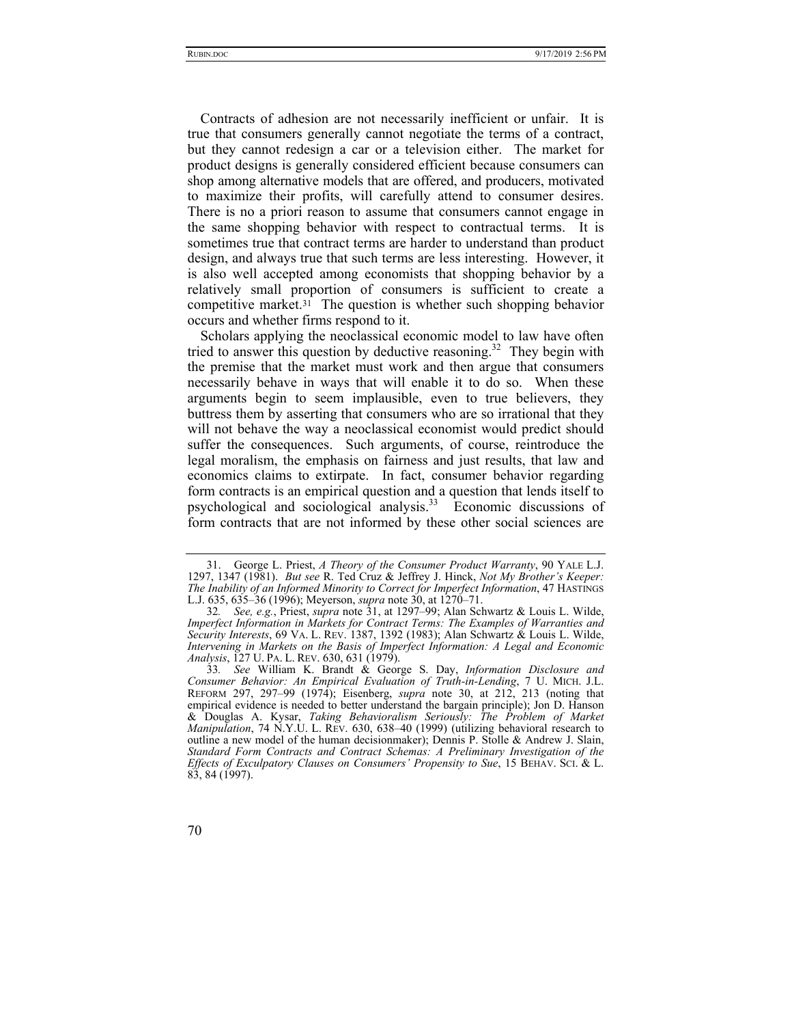Contracts of adhesion are not necessarily inefficient or unfair. It is true that consumers generally cannot negotiate the terms of a contract, but they cannot redesign a car or a television either. The market for product designs is generally considered efficient because consumers can shop among alternative models that are offered, and producers, motivated to maximize their profits, will carefully attend to consumer desires. There is no a priori reason to assume that consumers cannot engage in the same shopping behavior with respect to contractual terms. It is sometimes true that contract terms are harder to understand than product design, and always true that such terms are less interesting. However, it is also well accepted among economists that shopping behavior by a relatively small proportion of consumers is sufficient to create a competitive market.<sup>31</sup> The question is whether such shopping behavior occurs and whether firms respond to it.

Scholars applying the neoclassical economic model to law have often tried to answer this question by deductive reasoning.<sup>32</sup> They begin with the premise that the market must work and then argue that consumers necessarily behave in ways that will enable it to do so. When these arguments begin to seem implausible, even to true believers, they buttress them by asserting that consumers who are so irrational that they will not behave the way a neoclassical economist would predict should suffer the consequences. Such arguments, of course, reintroduce the legal moralism, the emphasis on fairness and just results, that law and economics claims to extirpate. In fact, consumer behavior regarding form contracts is an empirical question and a question that lends itself to psychological and sociological analysis.33 Economic discussions of form contracts that are not informed by these other social sciences are

 <sup>31.</sup> George L. Priest, *A Theory of the Consumer Product Warranty*, 90 YALE L.J. 1297, 1347 (1981). *But see* R. Ted Cruz & Jeffrey J. Hinck, *Not My Brother's Keeper: The Inability of an Informed Minority to Correct for Imperfect Information*, 47 HASTINGS L.J. 635, 635–36 (1996); Meyerson, *supra* note 30, at 1270–71.

<sup>32</sup>*. See, e.g.*, Priest, *supra* note 31, at 1297–99; Alan Schwartz & Louis L. Wilde, *Imperfect Information in Markets for Contract Terms: The Examples of Warranties and Security Interests*, 69 VA. L. REV. 1387, 1392 (1983); Alan Schwartz & Louis L. Wilde, *Intervening in Markets on the Basis of Imperfect Information: A Legal and Economic Analysis*, 127 U. PA. L. REV. 630, 631 (1979).

<sup>33</sup>*. See* William K. Brandt & George S. Day, *Information Disclosure and Consumer Behavior: An Empirical Evaluation of Truth-in-Lending*, 7 U. MICH. J.L. REFORM 297, 297–99 (1974); Eisenberg, *supra* note 30, at 212, 213 (noting that empirical evidence is needed to better understand the bargain principle); Jon D. Hanson & Douglas A. Kysar, *Taking Behavioralism Seriously: The Problem of Market Manipulation*, 74 N.Y.U. L. REV. 630, 638–40 (1999) (utilizing behavioral research to outline a new model of the human decisionmaker); Dennis P. Stolle & Andrew J. Slain, *Standard Form Contracts and Contract Schemas: A Preliminary Investigation of the Effects of Exculpatory Clauses on Consumers' Propensity to Sue*, 15 BEHAV. SCI. & L. 83, 84 (1997).

<sup>70</sup>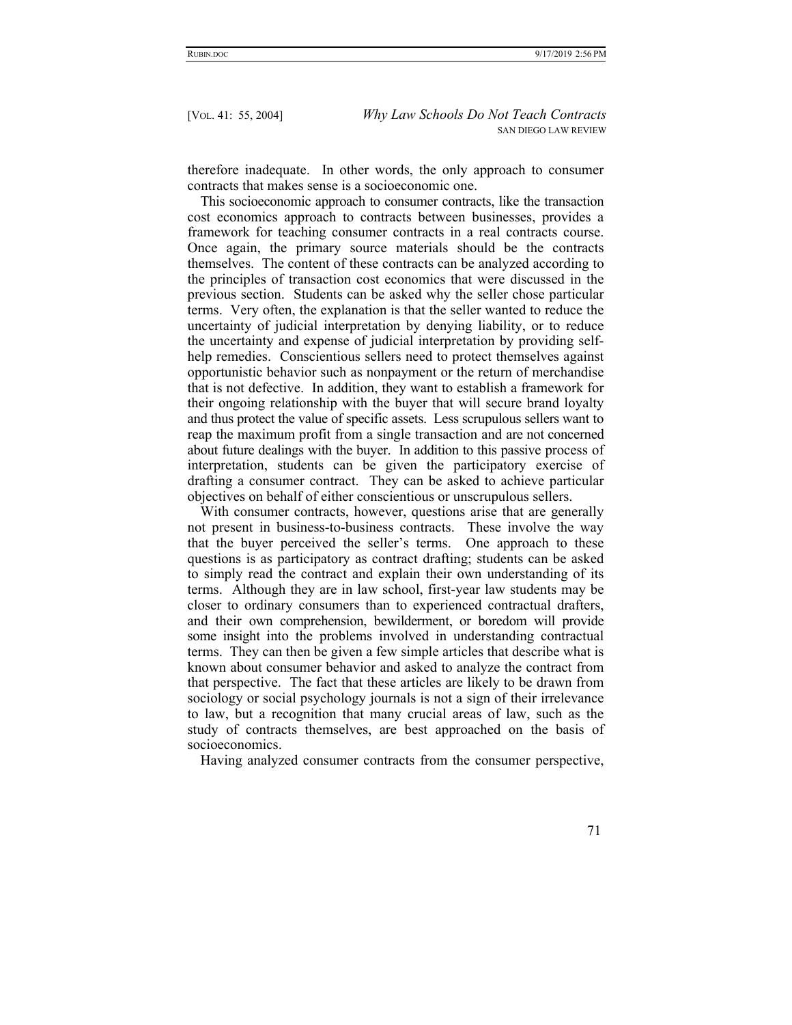therefore inadequate. In other words, the only approach to consumer contracts that makes sense is a socioeconomic one.

This socioeconomic approach to consumer contracts, like the transaction cost economics approach to contracts between businesses, provides a framework for teaching consumer contracts in a real contracts course. Once again, the primary source materials should be the contracts themselves. The content of these contracts can be analyzed according to the principles of transaction cost economics that were discussed in the previous section. Students can be asked why the seller chose particular terms. Very often, the explanation is that the seller wanted to reduce the uncertainty of judicial interpretation by denying liability, or to reduce the uncertainty and expense of judicial interpretation by providing selfhelp remedies. Conscientious sellers need to protect themselves against opportunistic behavior such as nonpayment or the return of merchandise that is not defective. In addition, they want to establish a framework for their ongoing relationship with the buyer that will secure brand loyalty and thus protect the value of specific assets. Less scrupulous sellers want to reap the maximum profit from a single transaction and are not concerned about future dealings with the buyer. In addition to this passive process of interpretation, students can be given the participatory exercise of drafting a consumer contract. They can be asked to achieve particular objectives on behalf of either conscientious or unscrupulous sellers.

With consumer contracts, however, questions arise that are generally not present in business-to-business contracts. These involve the way that the buyer perceived the seller's terms. One approach to these questions is as participatory as contract drafting; students can be asked to simply read the contract and explain their own understanding of its terms. Although they are in law school, first-year law students may be closer to ordinary consumers than to experienced contractual drafters, and their own comprehension, bewilderment, or boredom will provide some insight into the problems involved in understanding contractual terms. They can then be given a few simple articles that describe what is known about consumer behavior and asked to analyze the contract from that perspective. The fact that these articles are likely to be drawn from sociology or social psychology journals is not a sign of their irrelevance to law, but a recognition that many crucial areas of law, such as the study of contracts themselves, are best approached on the basis of socioeconomics.

Having analyzed consumer contracts from the consumer perspective,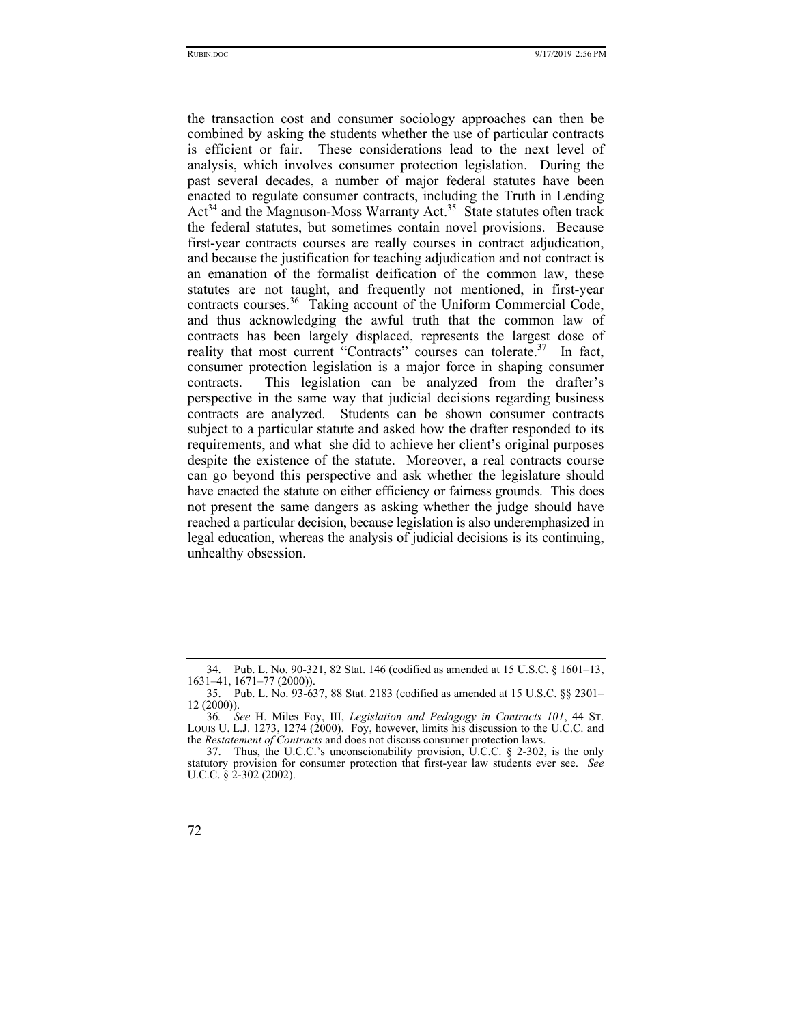the transaction cost and consumer sociology approaches can then be combined by asking the students whether the use of particular contracts is efficient or fair. These considerations lead to the next level of analysis, which involves consumer protection legislation. During the past several decades, a number of major federal statutes have been enacted to regulate consumer contracts, including the Truth in Lending Act<sup>34</sup> and the Magnuson-Moss Warranty Act.<sup>35</sup> State statutes often track the federal statutes, but sometimes contain novel provisions. Because first-year contracts courses are really courses in contract adjudication, and because the justification for teaching adjudication and not contract is an emanation of the formalist deification of the common law, these statutes are not taught, and frequently not mentioned, in first-year contracts courses.<sup>36</sup> Taking account of the Uniform Commercial Code, and thus acknowledging the awful truth that the common law of contracts has been largely displaced, represents the largest dose of reality that most current "Contracts" courses can tolerate.<sup>37</sup> In fact, consumer protection legislation is a major force in shaping consumer contracts. This legislation can be analyzed from the drafter's perspective in the same way that judicial decisions regarding business contracts are analyzed. Students can be shown consumer contracts subject to a particular statute and asked how the drafter responded to its requirements, and what she did to achieve her client's original purposes despite the existence of the statute. Moreover, a real contracts course can go beyond this perspective and ask whether the legislature should have enacted the statute on either efficiency or fairness grounds. This does not present the same dangers as asking whether the judge should have reached a particular decision, because legislation is also underemphasized in legal education, whereas the analysis of judicial decisions is its continuing, unhealthy obsession.

 <sup>34.</sup> Pub. L. No. 90-321, 82 Stat. 146 (codified as amended at 15 U.S.C. § 1601–13, 1631–41, 1671–77 (2000)).

 <sup>35.</sup> Pub. L. No. 93-637, 88 Stat. 2183 (codified as amended at 15 U.S.C. §§ 2301– 12 (2000)).

<sup>36</sup>*. See* H. Miles Foy, III, *Legislation and Pedagogy in Contracts 101*, 44 ST. LOUIS U. L.J. 1273, 1274 (2000). Foy, however, limits his discussion to the U.C.C. and the *Restatement of Contracts* and does not discuss consumer protection laws.

<sup>37.</sup> Thus, the U.C.C.'s unconscionability provision, U.C.C.  $\S$  2-302, is the only statutory provision for consumer protection that first-year law students ever see. *See*  U.C.C. § 2-302 (2002).

<sup>72</sup>